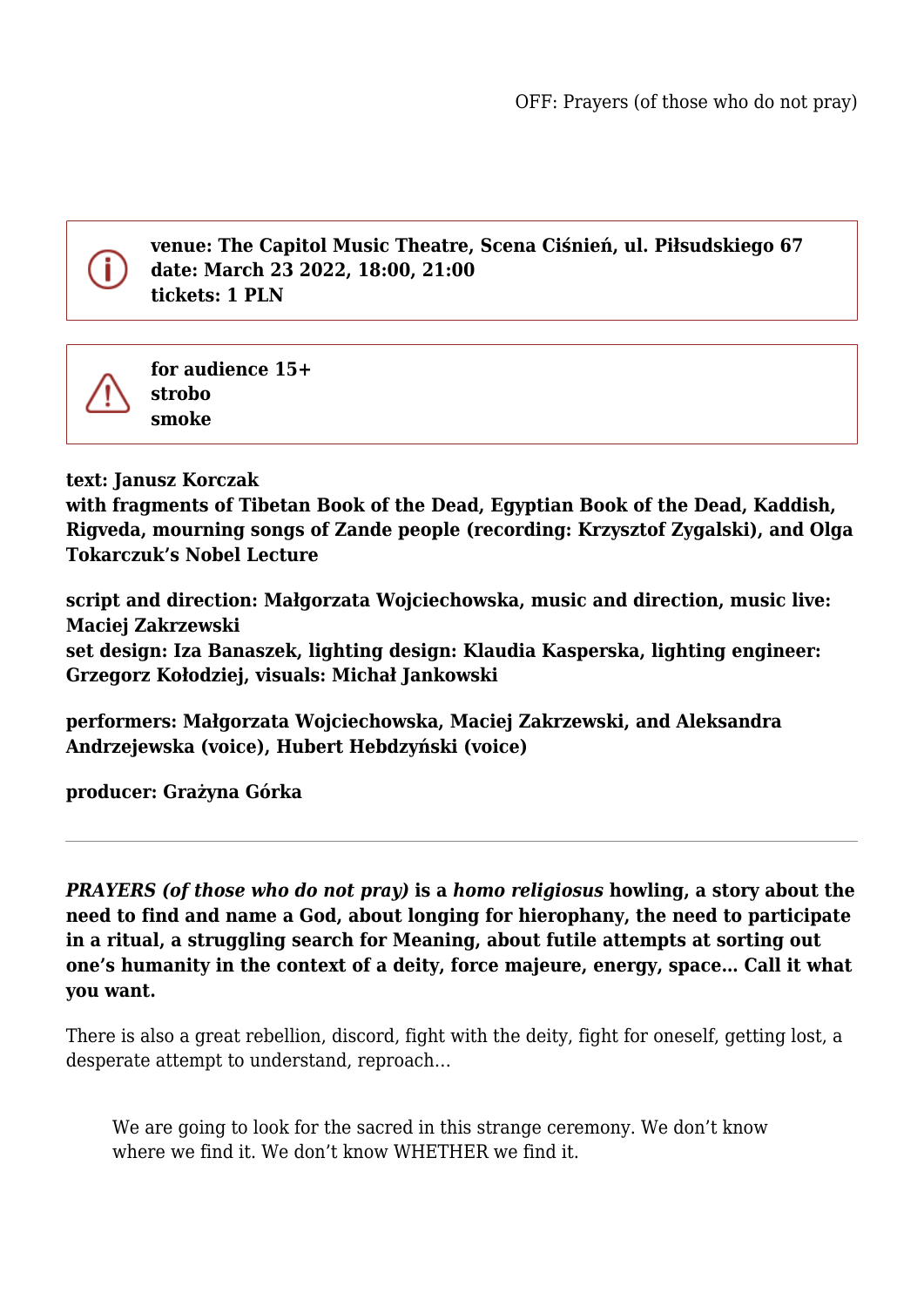

**venue: The Capitol Music Theatre, Scena Ciśnień, ul. Piłsudskiego 67 date: March 23 2022, 18:00, 21:00 tickets: 1 PLN**



**for audience 15+ strobo smoke**

**text: Janusz Korczak**

**with fragments of Tibetan Book of the Dead, Egyptian Book of the Dead, Kaddish, Rigveda, mourning songs of Zande people (recording: Krzysztof Zygalski), and Olga Tokarczuk's Nobel Lecture**

**script and direction: Małgorzata Wojciechowska, music and direction, music live: Maciej Zakrzewski set design: Iza Banaszek, lighting design: Klaudia Kasperska, lighting engineer: Grzegorz Kołodziej, visuals: Michał Jankowski**

**performers: Małgorzata Wojciechowska, Maciej Zakrzewski, and Aleksandra Andrzejewska (voice), Hubert Hebdzyński (voice)**

**producer: Grażyna Górka**

*PRAYERS (of those who do not pray)* **is a** *homo religiosus* **howling, a story about the need to find and name a God, about longing for hierophany, the need to participate in a ritual, a struggling search for Meaning, about futile attempts at sorting out one's humanity in the context of a deity, force majeure, energy, space… Call it what you want.**

There is also a great rebellion, discord, fight with the deity, fight for oneself, getting lost, a desperate attempt to understand, reproach…

We are going to look for the sacred in this strange ceremony. We don't know where we find it. We don't know WHETHER we find it.